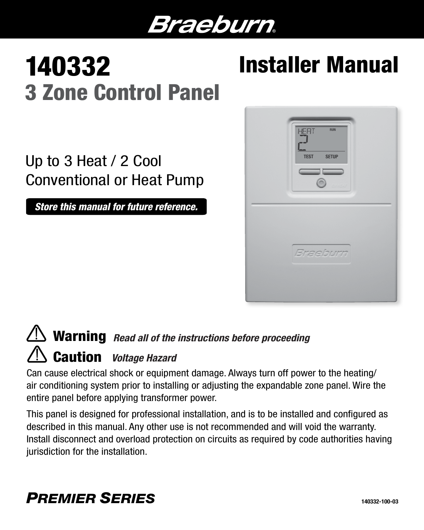# Braeburn.

# 140332 3 Zone Control Panel

# Installer Manual

# Up to 3 Heat / 2 Cool Conventional or Heat Pump

*Store this manual for future reference.*



# Warning *Read all of the instructions before proceeding* Caution *Voltage Hazard*

Can cause electrical shock or equipment damage. Always turn off power to the heating/ air conditioning system prior to installing or adjusting the expandable zone panel. Wire the entire panel before applying transformer power.

This panel is designed for professional installation, and is to be installed and configured as described in this manual. Any other use is not recommended and will void the warranty. Install disconnect and overload protection on circuits as required by code authorities having jurisdiction for the installation.

# *PREMIER SERIES*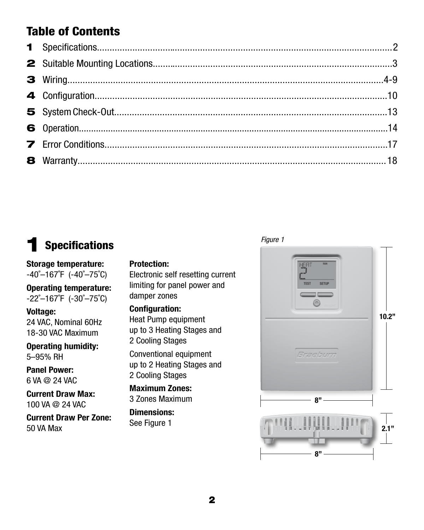# Table of Contents

# **Specifications**

#### Storage temperature:  $-40^{\circ}-167^{\circ}$ F ( $-40^{\circ}-75^{\circ}$ C)

Operating temperature:  $-22^{\circ}-167^{\circ}F$  ( $-30^{\circ}-75^{\circ}C$ )

#### Voltage:

24 VAC, Nominal 60Hz 18-30 VAC Maximum

#### Operating humidity: 5–95% RH

Panel Power: 6 VA @ 24 VAC

Current Draw Max: 100 VA @ 24 VAC

Current Draw Per Zone:

### Protection:

Electronic self resetting current limiting for panel power and damper zones

#### Configuration:

Heat Pump equipment up to 3 Heating Stages and 2 Cooling Stages

Conventional equipment up to 2 Heating Stages and 2 Cooling Stages

Maximum Zones: 3 Zones Maximum

## Dimensions:

See Figure 1

#### *Figure 1*

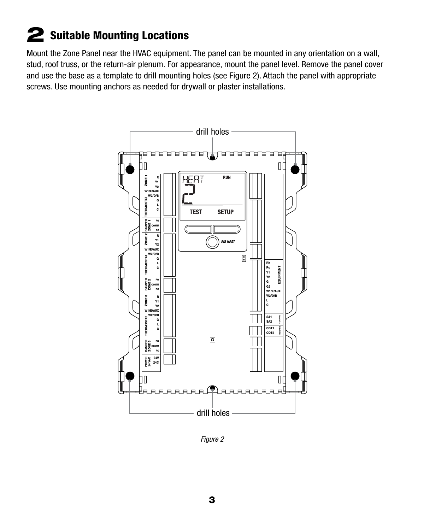# 2 Suitable Mounting Locations

Mount the Zone Panel near the HVAC equipment. The panel can be mounted in any orientation on a wall, stud, roof truss, or the return-air plenum. For appearance, mount the panel level. Remove the panel cover and use the base as a template to drill mounting holes (see Figure 2). Attach the panel with appropriate screws. Use mounting anchors as needed for drywall or plaster installations.



*Figure 2*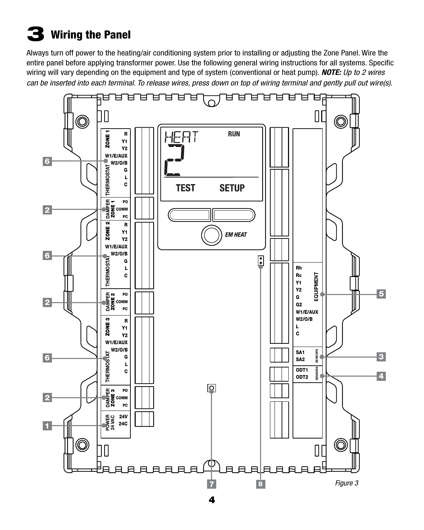# $\bf{3}$  Wiring the Panel

Always turn off power to the heating/air conditioning system prior to installing or adjusting the Zone Panel. Wire the entire panel before applying transformer power. Use the following general wiring instructions for all systems. Specific wiring will vary depending on the equipment and type of system (conventional or heat pump). *NOTE: Up to 2 wires can be inserted into each terminal. To release wires, press down on top of wiring terminal and gently pull out wire(s).*

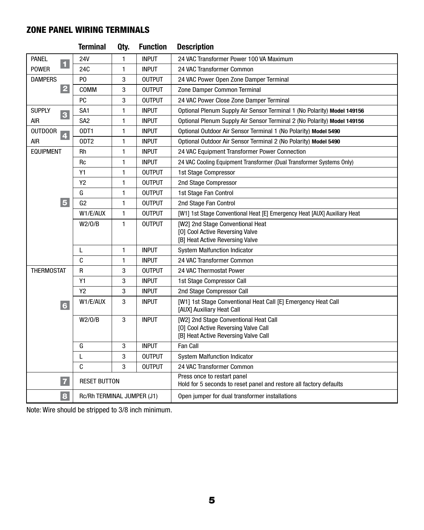## ZONE PANEL WIRING TERMINALS

|                                           | <b>Terminal</b>            | Qty.         | <b>Function</b> | <b>Description</b>                                                                                |
|-------------------------------------------|----------------------------|--------------|-----------------|---------------------------------------------------------------------------------------------------|
| <b>PANEL</b><br>$\blacksquare$            | 24V                        | 1            | <b>INPUT</b>    | 24 VAC Transformer Power 100 VA Maximum                                                           |
| <b>POWER</b>                              | 24 <sub>C</sub>            | 1            | <b>INPUT</b>    | 24 VAC Transformer Common                                                                         |
| <b>DAMPERS</b>                            | P <sub>0</sub>             | 3            | <b>OUTPUT</b>   | 24 VAC Power Open Zone Damper Terminal                                                            |
| $\overline{2}$                            | COMM                       | 3            | <b>OUTPUT</b>   | Zone Damper Common Terminal                                                                       |
|                                           | PC                         | 3            | <b>OUTPUT</b>   | 24 VAC Power Close Zone Damper Terminal                                                           |
| <b>SUPPLY</b><br>3                        | SA <sub>1</sub>            | 1            | <b>INPUT</b>    | Optional Plenum Supply Air Sensor Terminal 1 (No Polarity) Model 149156                           |
| <b>AIR</b>                                | SA <sub>2</sub>            | 1            | <b>INPUT</b>    | Optional Plenum Supply Air Sensor Terminal 2 (No Polarity) Model 149156                           |
| <b>OUTDOOR</b><br>$\overline{\mathbf{4}}$ | ODT1                       | 1            | <b>INPUT</b>    | Optional Outdoor Air Sensor Terminal 1 (No Polarity) Model 5490                                   |
| <b>AIR</b>                                | ODT <sub>2</sub>           | 1            | <b>INPUT</b>    | Optional Outdoor Air Sensor Terminal 2 (No Polarity) Model 5490                                   |
| <b>EQUIPMENT</b>                          | <b>Rh</b>                  | 1            | <b>INPUT</b>    | 24 VAC Equipment Transformer Power Connection                                                     |
|                                           | <b>Rc</b>                  | 1            | <b>INPUT</b>    | 24 VAC Cooling Equipment Transformer (Dual Transformer Systems Only)                              |
|                                           | Y1                         | 1            | <b>OUTPUT</b>   | 1st Stage Compressor                                                                              |
|                                           | Y <sub>2</sub>             | 1            | <b>OUTPUT</b>   | 2nd Stage Compressor                                                                              |
|                                           | G                          | $\mathbf{1}$ | <b>OUTPUT</b>   | 1st Stage Fan Control                                                                             |
| 5 <sup>5</sup>                            | G2                         | 1            | <b>OUTPUT</b>   | 2nd Stage Fan Control                                                                             |
|                                           | W1/E/AUX                   | 1            | <b>OUTPUT</b>   | [W1] 1st Stage Conventional Heat [E] Emergency Heat [AUX] Auxiliary Heat                          |
|                                           | W2/0/B                     | 1            | <b>OUTPUT</b>   | [W2] 2nd Stage Conventional Heat                                                                  |
|                                           |                            |              |                 | [O] Cool Active Reversing Valve                                                                   |
|                                           |                            |              |                 | [B] Heat Active Reversing Valve                                                                   |
|                                           | L                          | 1            | <b>INPUT</b>    | <b>System Malfunction Indicator</b>                                                               |
|                                           | C                          | 1            | <b>INPUT</b>    | 24 VAC Transformer Common                                                                         |
| <b>THERMOSTAT</b>                         | $\mathsf R$                | 3            | <b>OUTPUT</b>   | 24 VAC Thermostat Power                                                                           |
|                                           | Y1                         | 3            | <b>INPUT</b>    | 1st Stage Compressor Call                                                                         |
|                                           | <b>Y2</b>                  | 3            | <b>INPUT</b>    | 2nd Stage Compressor Call                                                                         |
| 6                                         | W1/E/AUX                   | 3            | <b>INPUT</b>    | [W1] 1st Stage Conventional Heat Call [E] Emergency Heat Call<br>[AUX] Auxiliary Heat Call        |
|                                           | W2/0/B                     | 3            | <b>INPUT</b>    | [W2] 2nd Stage Conventional Heat Call                                                             |
|                                           |                            |              |                 | [0] Cool Active Reversing Valve Call                                                              |
|                                           |                            |              | <b>INPUT</b>    | [B] Heat Active Reversing Valve Call<br>Fan Call                                                  |
|                                           | G                          | 3            |                 |                                                                                                   |
|                                           | L                          | 3            | <b>OUTPUT</b>   | <b>System Malfunction Indicator</b>                                                               |
|                                           | C                          | 3            | <b>OUTPUT</b>   | 24 VAC Transformer Common                                                                         |
| $\overline{z}$                            | <b>RESET BUTTON</b>        |              |                 | Press once to restart panel<br>Hold for 5 seconds to reset panel and restore all factory defaults |
| 8                                         | Rc/Rh TERMINAL JUMPER (J1) |              |                 | Open jumper for dual transformer installations                                                    |

Note: Wire should be stripped to 3/8 inch minimum.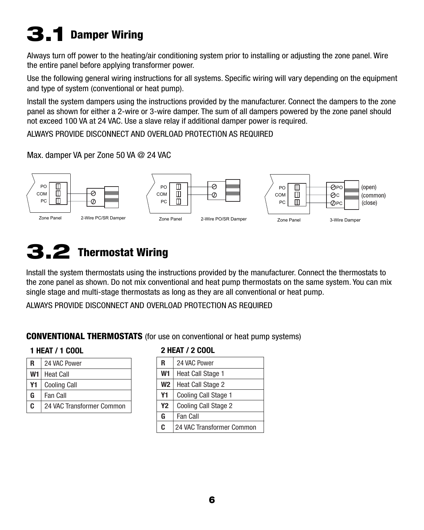# 3.1 Damper Wiring

Always turn off power to the heating/air conditioning system prior to installing or adjusting the zone panel. Wire the entire panel before applying transformer power.

Use the following general wiring instructions for all systems. Specific wiring will vary depending on the equipment and type of system (conventional or heat pump).

Install the system dampers using the instructions provided by the manufacturer. Connect the dampers to the zone panel as shown for either a 2-wire or 3-wire damper. The sum of all dampers powered by the zone panel should not exceed 100 VA at 24 VAC. Use a slave relay if additional damper power is required.

ALWAYS PROVIDE DISCONNECT AND OVERLOAD PROTECTION AS REQUIRED

#### Max. damper VA per Zone 50 VA @ 24 VAC



# 3.2 Thermostat Wiring

Install the system thermostats using the instructions provided by the manufacturer. Connect the thermostats to the zone panel as shown. Do not mix conventional and heat pump thermostats on the same system. You can mix single stage and multi-stage thermostats as long as they are all conventional or heat pump.

ALWAYS PROVIDE DISCONNECT AND OVERLOAD PROTECTION AS REQUIRED

### CONVENTIONAL THERMOSTATS (for use on conventional or heat pump systems)

#### 1 HEAT / 1 COOL

| R  | 24 VAC Power              |
|----|---------------------------|
| W1 | <b>Heat Call</b>          |
| Υ1 | <b>Cooling Call</b>       |
| G  | Fan Call                  |
| C. | 24 VAC Transformer Common |

#### 2 HEAT / 2 COOL

| R              | 24 VAC Power              |
|----------------|---------------------------|
| W <sub>1</sub> | <b>Heat Call Stage 1</b>  |
| <b>W2</b>      | Heat Call Stage 2         |
| Υ1             | Cooling Call Stage 1      |
| Y <sub>2</sub> | Cooling Call Stage 2      |
| G              | Fan Call                  |
| C              | 24 VAC Transformer Common |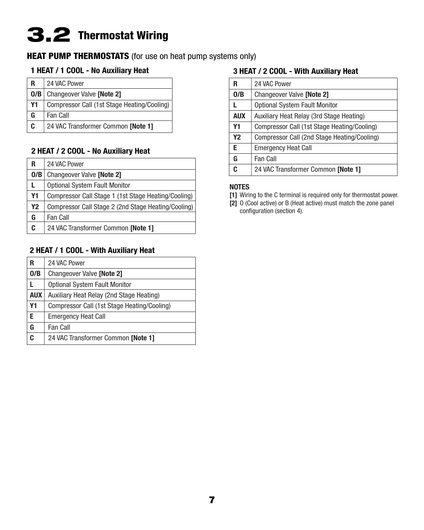# 3.2 Thermostat Wiring

### **HEAT PUMP THERMOSTATS** (for use on heat pump systems only)

### 1 HEAT / 1 COOL - No Auxiliary Heat

| R  | 24 VAC Power                                  |
|----|-----------------------------------------------|
|    | <b>O/B</b>   Changeover Valve <b>[Note 2]</b> |
| Y1 | Compressor Call (1st Stage Heating/Cooling)   |
| G  | Fan Call                                      |
| C  | 24 VAC Transformer Common [Note 1]            |

#### 2 HEAT / 2 COOL - No Auxiliary Heat

| R              | 24 VAC Power                                        |
|----------------|-----------------------------------------------------|
| O/B            | <b>Changeover Valve [Note 2]</b>                    |
| L              | <b>Optional System Fault Monitor</b>                |
| Y1             | Compressor Call Stage 1 (1st Stage Heating/Cooling) |
| Y <sub>2</sub> | Compressor Call Stage 2 (2nd Stage Heating/Cooling) |
| G              | Fan Call                                            |
| C              | 24 VAC Transformer Common [Note 1]                  |

#### 2 HEAT / 1 COOL - With Auxiliary Heat

| R          | 24 VAC Power                                |
|------------|---------------------------------------------|
| 0/B        | <b>Changeover Valve [Note 2]</b>            |
|            | <b>Optional System Fault Monitor</b>        |
| <b>AUX</b> | Auxiliary Heat Relay (2nd Stage Heating)    |
| Y1         | Compressor Call (1st Stage Heating/Cooling) |
| E.         | <b>Emergency Heat Call</b>                  |
| G          | Fan Call                                    |
| C          | 24 VAC Transformer Common [Note 1]          |

#### 3 HEAT / 2 COOL - With Auxiliary Heat

| R          | 24 VAC Power                                |
|------------|---------------------------------------------|
| 0/B        | <b>Changeover Valve [Note 2]</b>            |
| L.         | <b>Optional System Fault Monitor</b>        |
| <b>AUX</b> | Auxiliary Heat Relay (3rd Stage Heating)    |
| Y1         | Compressor Call (1st Stage Heating/Cooling) |
| Y2         | Compressor Call (2nd Stage Heating/Cooling) |
| F          | <b>Emergency Heat Call</b>                  |
| G          | Fan Call                                    |
| c          | 24 VAC Transformer Common [Note 1]          |

#### NOTES

- [1] Wiring to the C terminal is required only for thermostat power.
- [2] O (Cool active) or B (Heat active) must match the zone panel configuration (section 4).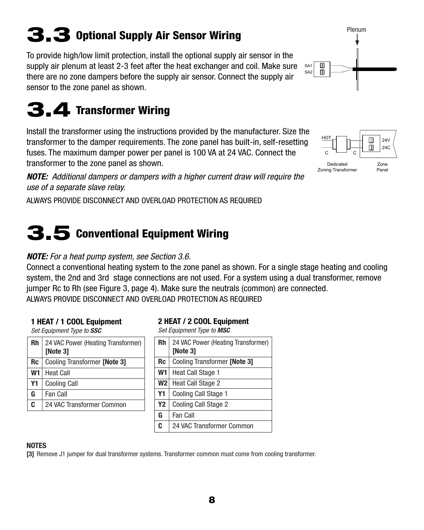# 3.3 Optional Supply Air Sensor Wiring

To provide high/low limit protection, install the optional supply air sensor in the supply air plenum at least 2-3 feet after the heat exchanger and coil. Make sure there are no zone dampers before the supply air sensor. Connect the supply air sensor to the zone panel as shown.

# 3.4 Transformer Wiring

Install the transformer using the instructions provided by the manufacturer. Size the transformer to the damper requirements. The zone panel has built-in, self-resetting fuses. The maximum damper power per panel is 100 VA at 24 VAC. Connect the transformer to the zone panel as shown.

*NOTE: Additional dampers or dampers with a higher current draw will require the use of a separate slave relay.*

ALWAYS PROVIDE DISCONNECT AND OVERLOAD PROTECTION AS REQUIRED

# 3.5 Conventional Equipment Wiring

# *NOTE: For a heat pump system, see Section 3.6.*

Connect a conventional heating system to the zone panel as shown. For a single stage heating and cooling system, the 2nd and 3rd stage connections are not used. For a system using a dual transformer, remove jumper Rc to Rh (see Figure 3, page 4). Make sure the neutrals (common) are connected. ALWAYS PROVIDE DISCONNECT AND OVERLOAD PROTECTION AS REQUIRED

# 1 HEAT / 1 COOL Equipment

*Set Equipment Type to SSC*

| <b>Rh</b> | 24 VAC Power (Heating Transformer)<br>[Note 3] |
|-----------|------------------------------------------------|
| Rc        | Cooling Transformer [Note 3]                   |
| W1        | <b>Heat Call</b>                               |
| Υ1        | <b>Cooling Call</b>                            |
| G         | <b>Fan Call</b>                                |
| C         | 24 VAC Transformer Common                      |
|           |                                                |

### 2 HEAT / 2 COOL Equipment

*Set Equipment Type to MSC*

| <b>Rh</b>      | 24 VAC Power (Heating Transformer)<br>[Note 3] |
|----------------|------------------------------------------------|
| Rc             | Cooling Transformer <b>[Note 3]</b>            |
| W1             | <b>Heat Call Stage 1</b>                       |
| W2             | Heat Call Stage 2                              |
| Υ1             | Cooling Call Stage 1                           |
| Y <sub>2</sub> | Cooling Call Stage 2                           |
| G              | Fan Call                                       |
| C              |                                                |

#### **NOTES**

[3] Remove J1 jumper for dual transformer systems. Transformer common must come from cooling transformer.

#### HOT  $\square$  $24V$  $\Box$ 24C  $\circ$   $\sim$   $\circ$ Dedicated Zone Zoning Transformer Panel

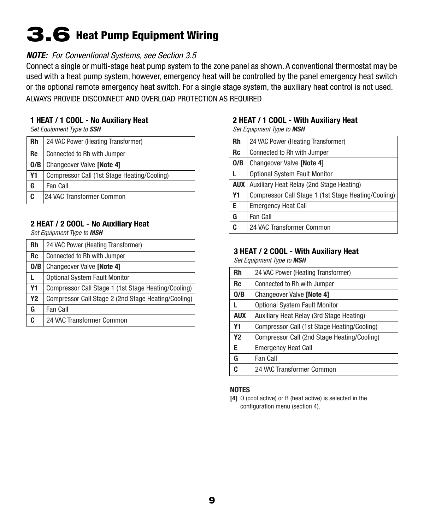# 3.6 Heat Pump Equipment Wiring

#### *NOTE: For Conventional Systems, see Section 3.5*

Connect a single or multi-stage heat pump system to the zone panel as shown. A conventional thermostat may be used with a heat pump system, however, emergency heat will be controlled by the panel emergency heat switch or the optional remote emergency heat switch. For a single stage system, the auxiliary heat control is not used. ALWAYS PROVIDE DISCONNECT AND OVERLOAD PROTECTION AS REQUIRED

#### 1 HEAT / 1 COOL - No Auxiliary Heat

*Set Equipment Type to SSH*

| <b>Rh</b> | 24 VAC Power (Heating Transformer)          |
|-----------|---------------------------------------------|
| <b>Rc</b> | Connected to Rh with Jumper                 |
| O/B       | <b>Changeover Valve [Note 4]</b>            |
| <b>Y1</b> | Compressor Call (1st Stage Heating/Cooling) |
| G         | Fan Call                                    |
| C         | 24 VAC Transformer Common                   |

#### 2 HEAT / 2 COOL - No Auxiliary Heat

*Set Equipment Type to MSH*

| Rh        | 24 VAC Power (Heating Transformer)                  |
|-----------|-----------------------------------------------------|
| <b>Rc</b> | Connected to Rh with Jumper                         |
| 0/B       | Changeover Valve [Note 4]                           |
| L         | <b>Optional System Fault Monitor</b>                |
| <b>Y1</b> | Compressor Call Stage 1 (1st Stage Heating/Cooling) |
| <b>Y2</b> | Compressor Call Stage 2 (2nd Stage Heating/Cooling) |
| G         | Fan Call                                            |
| C         | 24 VAC Transformer Common                           |
|           |                                                     |

#### 2 HEAT / 1 COOL - With Auxiliary Heat

*Set Equipment Type to MSH*

| <b>Rh</b>  | 24 VAC Power (Heating Transformer)                  |  |  |  |  |
|------------|-----------------------------------------------------|--|--|--|--|
| <b>Rc</b>  | Connected to Rh with Jumper                         |  |  |  |  |
| 0/B        | Changeover Valve [Note 4]                           |  |  |  |  |
|            | <b>Optional System Fault Monitor</b>                |  |  |  |  |
| <b>AUX</b> | Auxiliary Heat Relay (2nd Stage Heating)            |  |  |  |  |
| <b>Y1</b>  | Compressor Call Stage 1 (1st Stage Heating/Cooling) |  |  |  |  |
| Е          | <b>Emergency Heat Call</b>                          |  |  |  |  |
| G          | Fan Call                                            |  |  |  |  |
| C          | 24 VAC Transformer Common                           |  |  |  |  |
|            |                                                     |  |  |  |  |

#### 3 HEAT / 2 COOL - With Auxiliary Heat

*Set Equipment Type to MSH*

| <b>Rh</b>      | 24 VAC Power (Heating Transformer)          |  |  |  |  |
|----------------|---------------------------------------------|--|--|--|--|
| <b>Rc</b>      | Connected to Rh with Jumper                 |  |  |  |  |
| 0/B            | Changeover Valve [Note 4]                   |  |  |  |  |
| L              | <b>Optional System Fault Monitor</b>        |  |  |  |  |
| <b>AUX</b>     | Auxiliary Heat Relay (3rd Stage Heating)    |  |  |  |  |
| Υ1             | Compressor Call (1st Stage Heating/Cooling) |  |  |  |  |
| Y <sub>2</sub> | Compressor Call (2nd Stage Heating/Cooling) |  |  |  |  |
| E.             | <b>Emergency Heat Call</b>                  |  |  |  |  |
| G              | Fan Call                                    |  |  |  |  |
| C.             | 24 VAC Transformer Common                   |  |  |  |  |
|                |                                             |  |  |  |  |

#### **NOTES**

[4] O (cool active) or B (heat active) is selected in the configuration menu (section 4).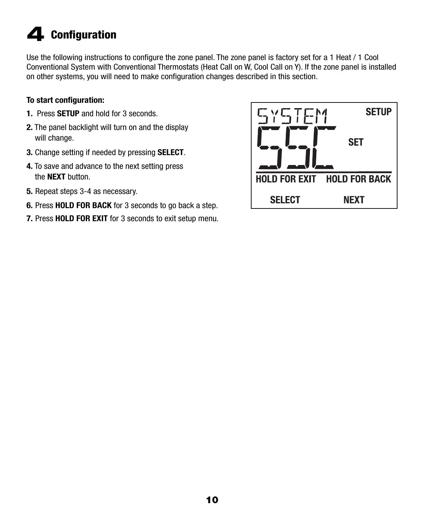# 4 Configuration

Use the following instructions to configure the zone panel. The zone panel is factory set for a 1 Heat / 1 Cool Conventional System with Conventional Thermostats (Heat Call on W, Cool Call on Y). If the zone panel is installed on other systems, you will need to make configuration changes described in this section.

### To start configuration:

- 1. Press **SETUP** and hold for 3 seconds.
- 2. The panel backlight will turn on and the display will change.
- 3. Change setting if needed by pressing SELECT.
- 4. To save and advance to the next setting press the **NEXT** button.
- 5. Repeat steps 3-4 as necessary.
- 6. Press HOLD FOR BACK for 3 seconds to go back a step.
- 7. Press HOLD FOR EXIT for 3 seconds to exit setup menu.

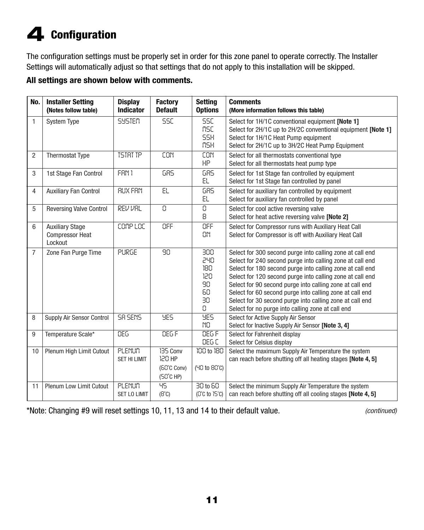# 4 Configuration

The configuration settings must be properly set in order for this zone panel to operate correctly. The Installer Settings will automatically adjust so that settings that do not apply to this installation will be skipped.

### All settings are shown below with comments.

| No.            | <b>Installer Setting</b><br>(Notes follow table) | <b>Display</b><br><b>Indicator</b> | <b>Factory</b><br><b>Default</b> | <b>Setting</b><br><b>Options</b> | <b>Comments</b><br>(More information follows this table)     |
|----------------|--------------------------------------------------|------------------------------------|----------------------------------|----------------------------------|--------------------------------------------------------------|
|                |                                                  |                                    |                                  |                                  |                                                              |
| $\mathbf{1}$   | <b>System Type</b>                               | <b>SYSTEM</b>                      | <b>SSC</b>                       | <b>SSC</b>                       | Select for 1H/1C conventional equipment [Note 1]             |
|                |                                                  |                                    |                                  | <b>MSC</b>                       | Select for 2H/1C up to 2H/2C conventional equipment [Note 1] |
|                |                                                  |                                    |                                  | <b>SSH</b>                       | Select for 1H/1C Heat Pump equipment                         |
|                |                                                  |                                    |                                  | <b>MSH</b>                       | Select for 2H/1C up to 3H/2C Heat Pump Equipment             |
| $\overline{2}$ | <b>Thermostat Type</b>                           | <b>TSTRT TP</b>                    | CON                              | CON                              | Select for all thermostats conventional type                 |
|                |                                                  |                                    |                                  | HP.                              | Select for all thermostats heat pump type                    |
| 3              | 1st Stage Fan Control                            | FAN 1                              | <b>GRS</b>                       | <b>GRS</b>                       | Select for 1st Stage fan controlled by equipment             |
|                |                                                  |                                    |                                  | EL.                              | Select for 1st Stage fan controlled by panel                 |
| 4              | <b>Auxiliary Fan Control</b>                     | <b>RUX FRN</b>                     | EL                               | <b>GRS</b>                       | Select for auxiliary fan controlled by equipment             |
|                |                                                  |                                    |                                  | EL.                              | Select for auxiliary fan controlled by panel                 |
| 5              | <b>Reversing Valve Control</b>                   | REV VRL                            | 0                                | $\Omega$                         | Select for cool active reversing valve                       |
|                |                                                  |                                    |                                  | 8                                | Select for heat active reversing valve [Note 2]              |
| 6              | <b>Auxiliary Stage</b>                           | COMP LOC                           | OFF                              | OFF                              | Select for Compressor runs with Auxiliary Heat Call          |
|                | <b>Compressor Heat</b>                           |                                    |                                  | <b>ON</b>                        | Select for Compressor is off with Auxiliary Heat Call        |
|                | Lockout                                          |                                    |                                  |                                  |                                                              |
| $\overline{7}$ | Zone Fan Purge Time                              | PURGE                              | 90                               | 300                              | Select for 300 second purge into calling zone at call end    |
|                |                                                  |                                    |                                  | 240                              | Select for 240 second purge into calling zone at call end    |
|                |                                                  |                                    |                                  | 180                              | Select for 180 second purge into calling zone at call end    |
|                |                                                  |                                    |                                  | 120                              | Select for 120 second purge into calling zone at call end    |
|                |                                                  |                                    |                                  | 90                               | Select for 90 second purge into calling zone at call end     |
|                |                                                  |                                    |                                  | 60                               | Select for 60 second purge into calling zone at call end     |
|                |                                                  |                                    |                                  | 30                               | Select for 30 second purge into calling zone at call end     |
|                |                                                  |                                    |                                  | 0                                | Select for no purge into calling zone at call end            |
| 8              | Supply Air Sensor Control                        | <b>SR SENS</b>                     | 985                              | 955                              | Select for Active Supply Air Sensor                          |
|                |                                                  |                                    |                                  | N <sub>0</sub>                   | Select for Inactive Supply Air Sensor [Note 3, 4]            |
| 9              | Temperature Scale*                               | <b>DEG</b>                         | DEG F                            | DEG F                            | Select for Fahrenheit display                                |
|                |                                                  |                                    |                                  | DEG C                            | Select for Celsius display                                   |
| 10             | Plenum High Limit Cutout                         | PLENUM                             | 135 Conv                         | 100 to 180                       | Select the maximum Supply Air Temperature the system         |
|                |                                                  | <b>SET HI LIMIT</b>                | 120 HP                           |                                  | can reach before shutting off all heating stages [Note 4, 5] |
|                |                                                  |                                    | (60°C Conv)                      | (40 to 80°C)                     |                                                              |
|                |                                                  |                                    | $(SC^cCHP)$                      |                                  |                                                              |
| 11             | Plenum Low Limit Cutout                          | PLENUM                             | 95                               | 30 to 60                         | Select the minimum Supply Air Temperature the system         |
|                |                                                  | <b>SET LO LIMIT</b>                | $(B^{\circ}C)$                   | $(C^cC$ to $15^cC)$              | can reach before shutting off all cooling stages [Note 4, 5] |

\*Note: Changing #9 will reset settings 10, 11, 13 and 14 to their default value. *(continued)*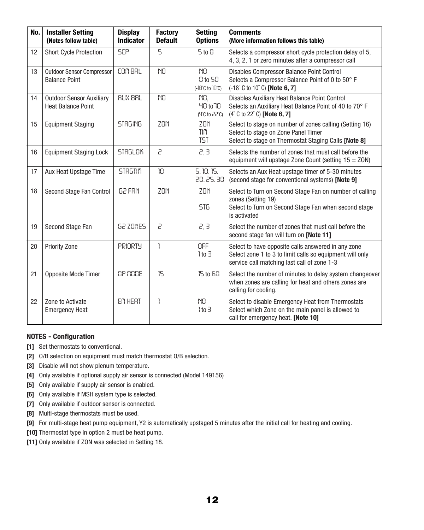| No. | <b>Installer Setting</b><br>(Notes follow table)             | <b>Display</b><br><b>Indicator</b> | <b>Factory</b><br><b>Default</b> | <b>Setting</b><br><b>Options</b>                                | <b>Comments</b><br>(More information follows this table)                                                                                                      |
|-----|--------------------------------------------------------------|------------------------------------|----------------------------------|-----------------------------------------------------------------|---------------------------------------------------------------------------------------------------------------------------------------------------------------|
| 12  | <b>Short Cycle Protection</b>                                | <b>SCP</b>                         | 5                                | $5$ to $0$                                                      | Selects a compressor short cycle protection delay of 5,<br>4, 3, 2, 1 or zero minutes after a compressor call                                                 |
| 13  | <b>Outdoor Sensor Compressor</b><br><b>Balance Point</b>     | COM BRL                            | NO                               | NO <sub>1</sub><br>0 to 50<br>$(-18^{\circ}C$ to $10^{\circ}C)$ | Disables Compressor Balance Point Control<br>Selects a Compressor Balance Point of 0 to 50° F<br>(-18°C to 10°C) [Note 6, 7]                                  |
| 14  | <b>Outdoor Sensor Auxiliary</b><br><b>Heat Balance Point</b> | <b>RUX BRL</b>                     | NO                               | NO.<br><b>40 to 70</b><br>$(4^{\circ}C$ to $22^{\circ}C)$       | Disables Auxiliary Heat Balance Point Control<br>Selects an Auxiliary Heat Balance Point of 40 to 70° F<br>(4°C to 22°C) [Note 6, 7]                          |
| 15  | <b>Equipment Staging</b>                                     | <b>STRGING</b>                     | <b>ZON</b>                       | <b>ZON</b><br><b>TIM</b><br><b>TST</b>                          | Select to stage on number of zones calling (Setting 16)<br>Select to stage on Zone Panel Timer<br>Select to stage on Thermostat Staging Calls [Note 8]        |
| 16  | <b>Equipment Staging Lock</b>                                | <b>STRGLOK</b>                     | 5                                | 2, 3                                                            | Selects the number of zones that must call before the<br>equipment will upstage Zone Count (setting $15 = ZON$ )                                              |
| 17  | Aux Heat Upstage Time                                        | <b>STRGTIN</b>                     | 10                               | 5, 10, 15,<br>20, 25, 30                                        | Selects an Aux Heat upstage timer of 5-30 minutes<br>(second stage for conventional systems) [Note 9]                                                         |
| 18  | Second Stage Fan Control                                     | <b>62 FRN</b>                      | ZON                              | ZON<br>516                                                      | Select to Turn on Second Stage Fan on number of calling<br>zones (Setting 19)<br>Select to Turn on Second Stage Fan when second stage<br>is activated         |
| 19  | Second Stage Fan                                             | G2 ZONES                           | 5                                | 2, 3                                                            | Select the number of zones that must call before the<br>second stage fan will turn on [Note 11]                                                               |
| 20  | <b>Priority Zone</b>                                         | <b>PRIORTY</b>                     | ľ                                | OFF<br>$1$ to $3$                                               | Select to have opposite calls answered in any zone<br>Select zone 1 to 3 to limit calls so equipment will only<br>service call matching last call of zone 1-3 |
| 21  | Opposite Mode Timer                                          | OP NODE                            | 15                               | 15 to 60                                                        | Select the number of minutes to delay system changeover<br>when zones are calling for heat and others zones are<br>calling for cooling.                       |
| 22  | Zone to Activate<br><b>Emergency Heat</b>                    | EM HERT                            | ŀ                                | NO.<br>$1$ to $\exists$                                         | Select to disable Emergency Heat from Thermostats<br>Select which Zone on the main panel is allowed to<br>call for emergency heat. [Note 10]                  |

#### NOTES - Configuration

- [1] Set thermostats to conventional.
- [2] O/B selection on equipment must match thermostat O/B selection.
- [3] Disable will not show plenum temperature.
- [4] Only available if optional supply air sensor is connected (Model 149156)
- [5] Only available if supply air sensor is enabled.
- [6] Only available if MSH system type is selected.
- [7] Only available if outdoor sensor is connected.
- [8] Multi-stage thermostats must be used.
- [9] For multi-stage heat pump equipment, Y2 is automatically upstaged 5 minutes after the initial call for heating and cooling.
- [10] Thermostat type in option 2 must be heat pump.
- [11] Only available if ZON was selected in Setting 18.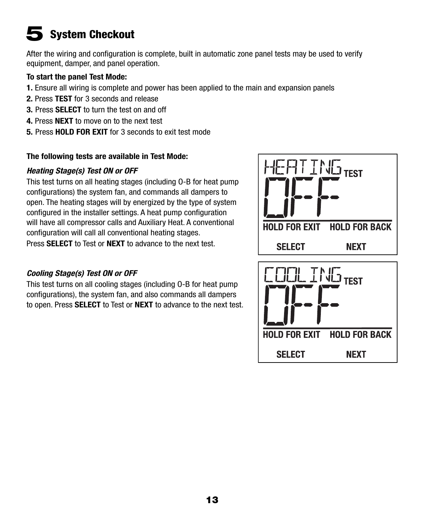# **System Checkout**

After the wiring and configuration is complete, built in automatic zone panel tests may be used to verify equipment, damper, and panel operation.

#### To start the panel Test Mode:

- 1. Ensure all wiring is complete and power has been applied to the main and expansion panels
- 2. Press TEST for 3 seconds and release
- **3. Press SELECT** to turn the test on and off
- 4. Press NEXT to move on to the next test
- 5. Press HOLD FOR EXIT for 3 seconds to exit test mode

#### The following tests are available in Test Mode:

#### *Heating Stage(s) Test ON or OFF*

This test turns on all heating stages (including O-B for heat pump configurations) the system fan, and commands all dampers to open. The heating stages will by energized by the type of system configured in the installer settings. A heat pump configuration will have all compressor calls and Auxiliary Heat. A conventional configuration will call all conventional heating stages. Press **SELECT** to Test or **NEXT** to advance to the next test.

## *Cooling Stage(s) Test ON or OFF*

This test turns on all cooling stages (including O-B for heat pump configurations), the system fan, and also commands all dampers to open. Press SELECT to Test or NEXT to advance to the next test.

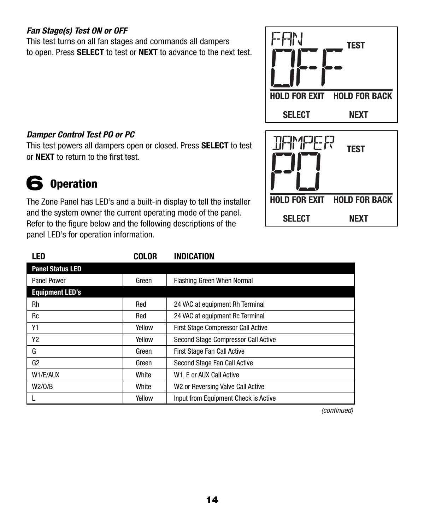## *Fan Stage(s) Test ON or OFF*

This test turns on all fan stages and commands all dampers to open. Press SELECT to test or NEXT to advance to the next test.

# **TEST HOLD FOR EXIT HOLD FOR BACK SELECT NEXT**



### *Damper Control Test PO or PC*

This test powers all dampers open or closed. Press SELECT to test or NEXT to return to the first test.

# 6 Operation

The Zone Panel has LED's and a built-in display to tell the installer and the system owner the current operating mode of the panel. Refer to the figure below and the following descriptions of the panel LED's for operation information.

| LED                     | <b>COLOR</b> | <b>INDICATION</b>                             |
|-------------------------|--------------|-----------------------------------------------|
| <b>Panel Status LED</b> |              |                                               |
| <b>Panel Power</b>      | Green        | <b>Flashing Green When Normal</b>             |
| <b>Equipment LED's</b>  |              |                                               |
| Rh                      | Red          | 24 VAC at equipment Rh Terminal               |
| Rc                      | Red          | 24 VAC at equipment Rc Terminal               |
| Υ1                      | Yellow       | <b>First Stage Compressor Call Active</b>     |
| Y2                      | Yellow       | Second Stage Compressor Call Active           |
| G                       | Green        | First Stage Fan Call Active                   |
| G2                      | Green        | Second Stage Fan Call Active                  |
| W1/E/AUX                | White        | W1, E or AUX Call Active                      |
| W2/0/B                  | White        | W <sub>2</sub> or Reversing Valve Call Active |
|                         | Yellow       | Input from Equipment Check is Active          |

*(continued)*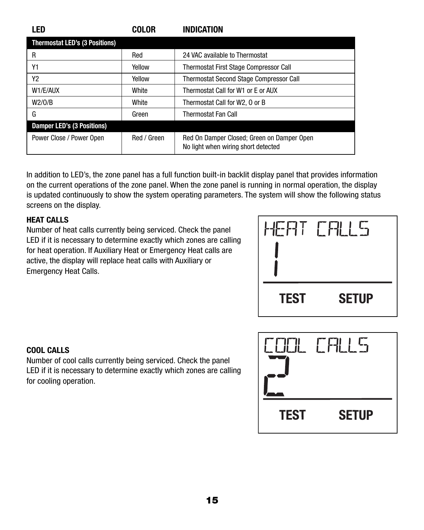| LED                                   | <b>COLOR</b> | <b>INDICATION</b>                                                                 |
|---------------------------------------|--------------|-----------------------------------------------------------------------------------|
| <b>Thermostat LED's (3 Positions)</b> |              |                                                                                   |
| R                                     | Red          | 24 VAC available to Thermostat                                                    |
| Υ1                                    | Yellow       | Thermostat First Stage Compressor Call                                            |
| Y <sub>2</sub>                        | Yellow       | <b>Thermostat Second Stage Compressor Call</b>                                    |
| W1/E/AUX                              | White        | Thermostat Call for W1 or E or AUX                                                |
| W2/0/B                                | White        | Thermostat Call for W2, 0 or B                                                    |
| G                                     | Green        | <b>Thermostat Fan Call</b>                                                        |
| <b>Damper LED's (3 Positions)</b>     |              |                                                                                   |
| Power Close / Power Open              | Red / Green  | Red On Damper Closed; Green on Damper Open<br>No light when wiring short detected |

In addition to LED's, the zone panel has a full function built-in backlit display panel that provides information on the current operations of the zone panel. When the zone panel is running in normal operation, the display is updated continuously to show the system operating parameters. The system will show the following status screens on the display.

### HEAT CALLS

Number of heat calls currently being serviced. Check the panel LED if it is necessary to determine exactly which zones are calling for heat operation. If Auxiliary Heat or Emergency Heat calls are active, the display will replace heat calls with Auxiliary or Emergency Heat Calls.



### COOL CALLS

Number of cool calls currently being serviced. Check the panel LED if it is necessary to determine exactly which zones are calling for cooling operation.

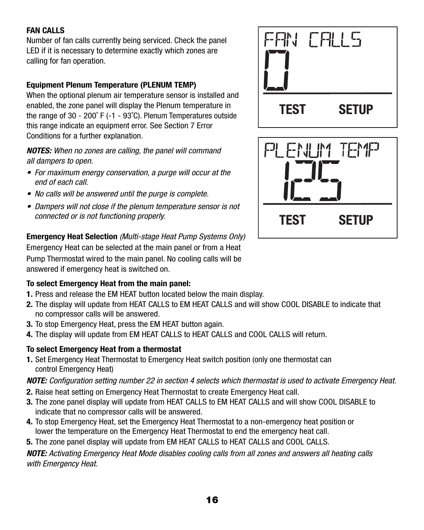### FAN CALLS

Number of fan calls currently being serviced. Check the panel LED if it is necessary to determine exactly which zones are calling for fan operation.

### Equipment Plenum Temperature (PLENUM TEMP)

When the optional plenum air temperature sensor is installed and enabled, the zone panel will display the Plenum temperature in the range of 30 - 200˚ F (-1 - 93˚C). Plenum Temperatures outside this range indicate an equipment error. See Section 7 Error Conditions for a further explanation.

*NOTES: When no zones are calling, the panel will command all dampers to open.* 

- *For maximum energy conservation, a purge will occur at the end of each call.*
- *No calls will be answered until the purge is complete.*
- *Dampers will not close if the plenum temperature sensor is not connected or is not functioning properly.*

### Emergency Heat Selection *(Multi-stage Heat Pump Systems Only)*

Emergency Heat can be selected at the main panel or from a Heat Pump Thermostat wired to the main panel. No cooling calls will be answered if emergency heat is switched on.

### To select Emergency Heat from the main panel:

- 1. Press and release the EM HEAT button located below the main display.
- 2. The display will update from HEAT CALLS to EM HEAT CALLS and will show COOL DISABLE to indicate that no compressor calls will be answered.
- 3. To stop Emergency Heat, press the EM HEAT button again.
- 4. The display will update from EM HEAT CALLS to HEAT CALLS and COOL CALLS will return.

### To select Emergency Heat from a thermostat

1. Set Emergency Heat Thermostat to Emergency Heat switch position (only one thermostat can control Emergency Heat)

#### *NOTE: Configuration setting number 22 in section 4 selects which thermostat is used to activate Emergency Heat.*

- 2. Raise heat setting on Emergency Heat Thermostat to create Emergency Heat call.
- 3. The zone panel display will update from HEAT CALLS to EM HEAT CALLS and will show COOL DISABLE to indicate that no compressor calls will be answered.
- 4. To stop Emergency Heat, set the Emergency Heat Thermostat to a non-emergency heat position or lower the temperature on the Emergency Heat Thermostat to end the emergency heat call.
- 5. The zone panel display will update from EM HEAT CALLS to HEAT CALLS and COOL CALLS.

#### *NOTE: Activating Emergency Heat Mode disables cooling calls from all zones and answers all heating calls with Emergency Heat.*



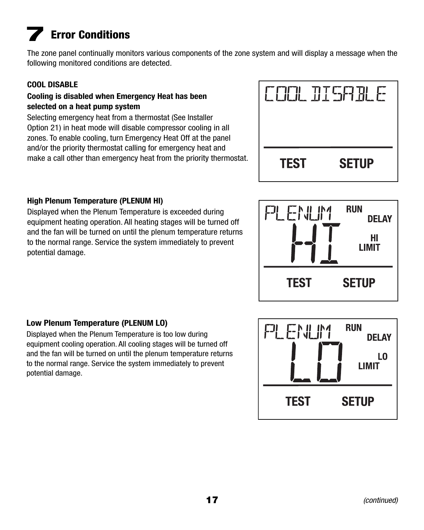# **Error Conditions**

The zone panel continually monitors various components of the zone system and will display a message when the following monitored conditions are detected.

### COOL DISABLE

#### Cooling is disabled when Emergency Heat has been selected on a heat pump system

Selecting emergency heat from a thermostat (See Installer Option 21) in heat mode will disable compressor cooling in all zones. To enable cooling, turn Emergency Heat Off at the panel and/or the priority thermostat calling for emergency heat and make a call other than emergency heat from the priority thermostat.



### High Plenum Temperature (PLENUM HI)

Displayed when the Plenum Temperature is exceeded during equipment heating operation. All heating stages will be turned off and the fan will be turned on until the plenum temperature returns to the normal range. Service the system immediately to prevent potential damage.



### Low Plenum Temperature (PLENUM LO)

Displayed when the Plenum Temperature is too low during equipment cooling operation. All cooling stages will be turned off and the fan will be turned on until the plenum temperature returns to the normal range. Service the system immediately to prevent potential damage.